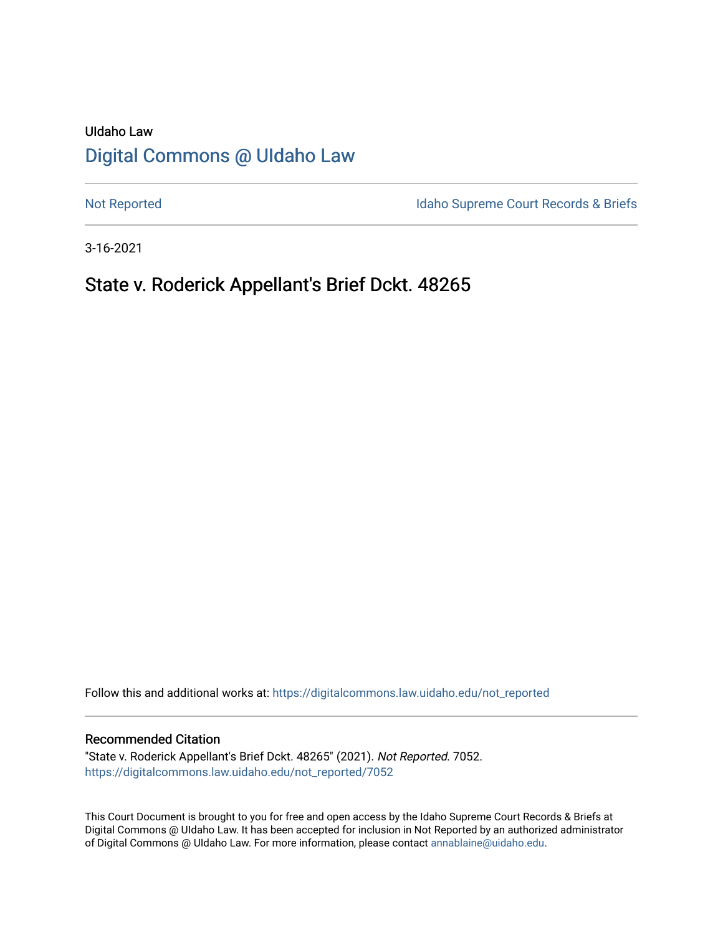# UIdaho Law [Digital Commons @ UIdaho Law](https://digitalcommons.law.uidaho.edu/)

[Not Reported](https://digitalcommons.law.uidaho.edu/not_reported) **Idaho Supreme Court Records & Briefs** 

3-16-2021

# State v. Roderick Appellant's Brief Dckt. 48265

Follow this and additional works at: [https://digitalcommons.law.uidaho.edu/not\\_reported](https://digitalcommons.law.uidaho.edu/not_reported?utm_source=digitalcommons.law.uidaho.edu%2Fnot_reported%2F7052&utm_medium=PDF&utm_campaign=PDFCoverPages) 

#### Recommended Citation

"State v. Roderick Appellant's Brief Dckt. 48265" (2021). Not Reported. 7052. [https://digitalcommons.law.uidaho.edu/not\\_reported/7052](https://digitalcommons.law.uidaho.edu/not_reported/7052?utm_source=digitalcommons.law.uidaho.edu%2Fnot_reported%2F7052&utm_medium=PDF&utm_campaign=PDFCoverPages)

This Court Document is brought to you for free and open access by the Idaho Supreme Court Records & Briefs at Digital Commons @ UIdaho Law. It has been accepted for inclusion in Not Reported by an authorized administrator of Digital Commons @ UIdaho Law. For more information, please contact [annablaine@uidaho.edu](mailto:annablaine@uidaho.edu).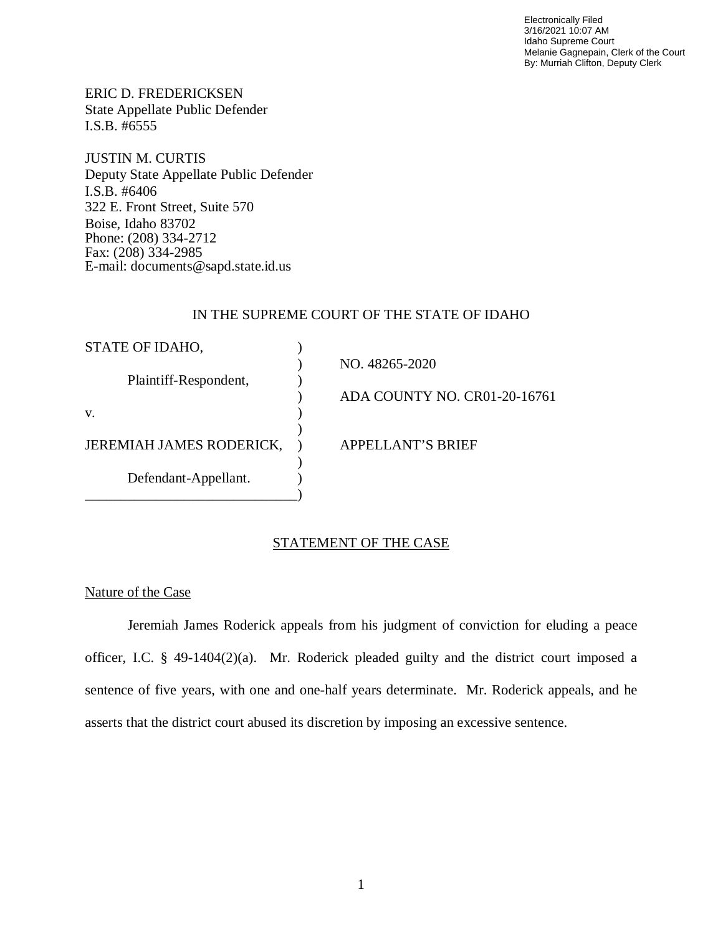Electronically Filed 3/16/2021 10:07 AM Idaho Supreme Court Melanie Gagnepain, Clerk of the Court By: Murriah Clifton, Deputy Clerk

ERIC D. FREDERICKSEN State Appellate Public Defender I.S.B. #6555

JUSTIN M. CURTIS Deputy State Appellate Public Defender I.S.B. #6406 322 E. Front Street, Suite 570 Boise, Idaho 83702 Phone: (208) 334-2712 Fax: (208) 334-2985 E-mail: documents@sapd.state.id.us

### IN THE SUPREME COURT OF THE STATE OF IDAHO

| STATE OF IDAHO,                 |                              |
|---------------------------------|------------------------------|
|                                 | NO. 48265-2020               |
| Plaintiff-Respondent,           |                              |
|                                 | ADA COUNTY NO. CR01-20-16761 |
| V.                              |                              |
|                                 |                              |
| <b>JEREMIAH JAMES RODERICK,</b> | <b>APPELLANT'S BRIEF</b>     |
|                                 |                              |
| Defendant-Appellant.            |                              |
|                                 |                              |

### STATEMENT OF THE CASE

### Nature of the Case

Jeremiah James Roderick appeals from his judgment of conviction for eluding a peace officer, I.C. § 49-1404(2)(a). Mr. Roderick pleaded guilty and the district court imposed a sentence of five years, with one and one-half years determinate. Mr. Roderick appeals, and he asserts that the district court abused its discretion by imposing an excessive sentence.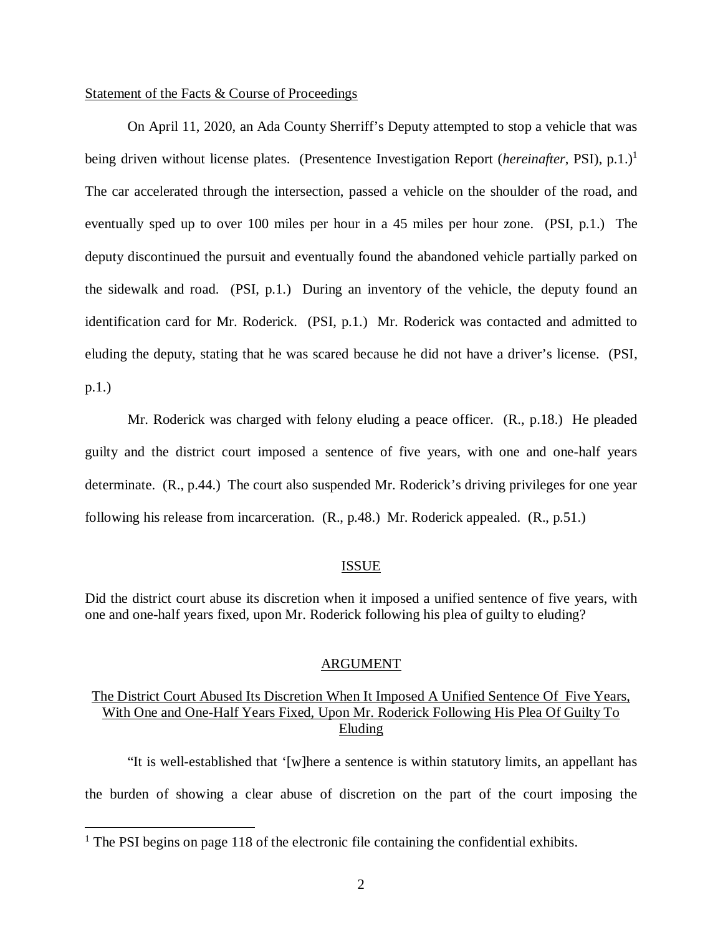#### Statement of the Facts & Course of Proceedings

On April 11, 2020, an Ada County Sherriff's Deputy attempted to stop a vehicle that was being driven without license plates. (Presentence Investigation Report (*hereinafter*, PSI), p.[1](#page-2-0).)<sup>1</sup> The car accelerated through the intersection, passed a vehicle on the shoulder of the road, and eventually sped up to over 100 miles per hour in a 45 miles per hour zone. (PSI, p.1.) The deputy discontinued the pursuit and eventually found the abandoned vehicle partially parked on the sidewalk and road. (PSI, p.1.) During an inventory of the vehicle, the deputy found an identification card for Mr. Roderick. (PSI, p.1.) Mr. Roderick was contacted and admitted to eluding the deputy, stating that he was scared because he did not have a driver's license. (PSI, p.1.)

Mr. Roderick was charged with felony eluding a peace officer. (R., p.18.) He pleaded guilty and the district court imposed a sentence of five years, with one and one-half years determinate. (R., p.44.) The court also suspended Mr. Roderick's driving privileges for one year following his release from incarceration. (R., p.48.) Mr. Roderick appealed. (R., p.51.)

### ISSUE

Did the district court abuse its discretion when it imposed a unified sentence of five years, with one and one-half years fixed, upon Mr. Roderick following his plea of guilty to eluding?

#### ARGUMENT

## The District Court Abused Its Discretion When It Imposed A Unified Sentence Of Five Years, With One and One-Half Years Fixed, Upon Mr. Roderick Following His Plea Of Guilty To Eluding

"It is well-established that '[w]here a sentence is within statutory limits, an appellant has the burden of showing a clear abuse of discretion on the part of the court imposing the

<span id="page-2-0"></span><sup>&</sup>lt;sup>1</sup> The PSI begins on page 118 of the electronic file containing the confidential exhibits.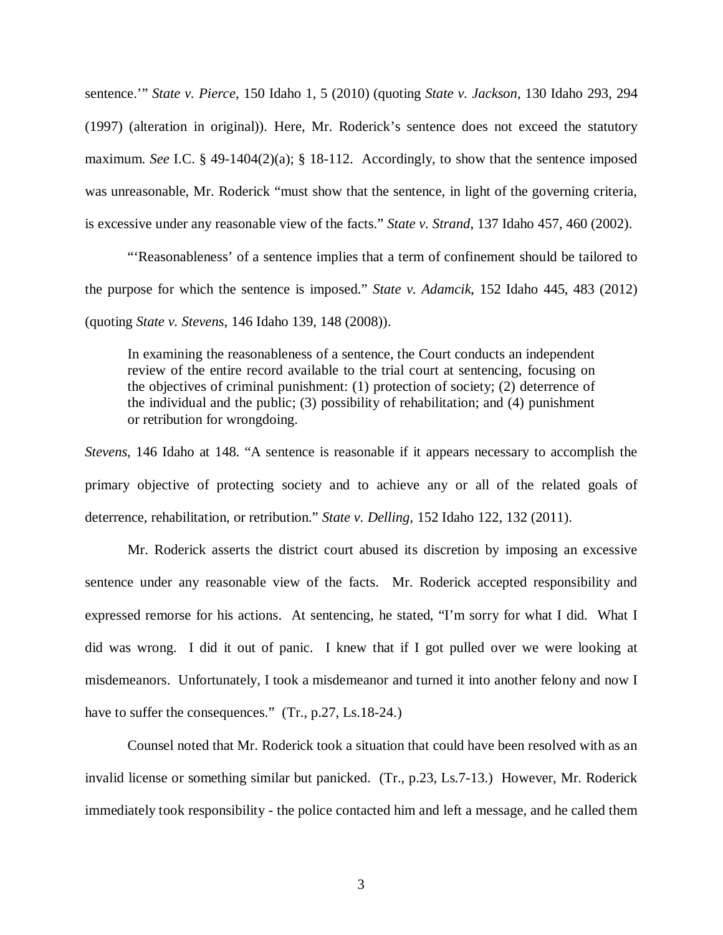sentence.'" *State v. Pierce*, 150 Idaho 1, 5 (2010) (quoting *State v. Jackson*, 130 Idaho 293, 294 (1997) (alteration in original)). Here, Mr. Roderick's sentence does not exceed the statutory maximum. *See* I.C. § 49-1404(2)(a); § 18-112. Accordingly, to show that the sentence imposed was unreasonable, Mr. Roderick "must show that the sentence, in light of the governing criteria, is excessive under any reasonable view of the facts." *State v. Strand*, 137 Idaho 457, 460 (2002).

"'Reasonableness' of a sentence implies that a term of confinement should be tailored to the purpose for which the sentence is imposed." *State v. Adamcik*, 152 Idaho 445, 483 (2012) (quoting *State v. Stevens*, 146 Idaho 139, 148 (2008)).

In examining the reasonableness of a sentence, the Court conducts an independent review of the entire record available to the trial court at sentencing, focusing on the objectives of criminal punishment: (1) protection of society; (2) deterrence of the individual and the public; (3) possibility of rehabilitation; and (4) punishment or retribution for wrongdoing.

*Stevens*, 146 Idaho at 148. "A sentence is reasonable if it appears necessary to accomplish the primary objective of protecting society and to achieve any or all of the related goals of deterrence, rehabilitation, or retribution." *State v. Delling*, 152 Idaho 122, 132 (2011).

Mr. Roderick asserts the district court abused its discretion by imposing an excessive sentence under any reasonable view of the facts. Mr. Roderick accepted responsibility and expressed remorse for his actions. At sentencing, he stated, "I'm sorry for what I did. What I did was wrong. I did it out of panic. I knew that if I got pulled over we were looking at misdemeanors. Unfortunately, I took a misdemeanor and turned it into another felony and now I have to suffer the consequences." (Tr., p.27, Ls.18-24.)

Counsel noted that Mr. Roderick took a situation that could have been resolved with as an invalid license or something similar but panicked. (Tr., p.23, Ls.7-13.) However, Mr. Roderick immediately took responsibility - the police contacted him and left a message, and he called them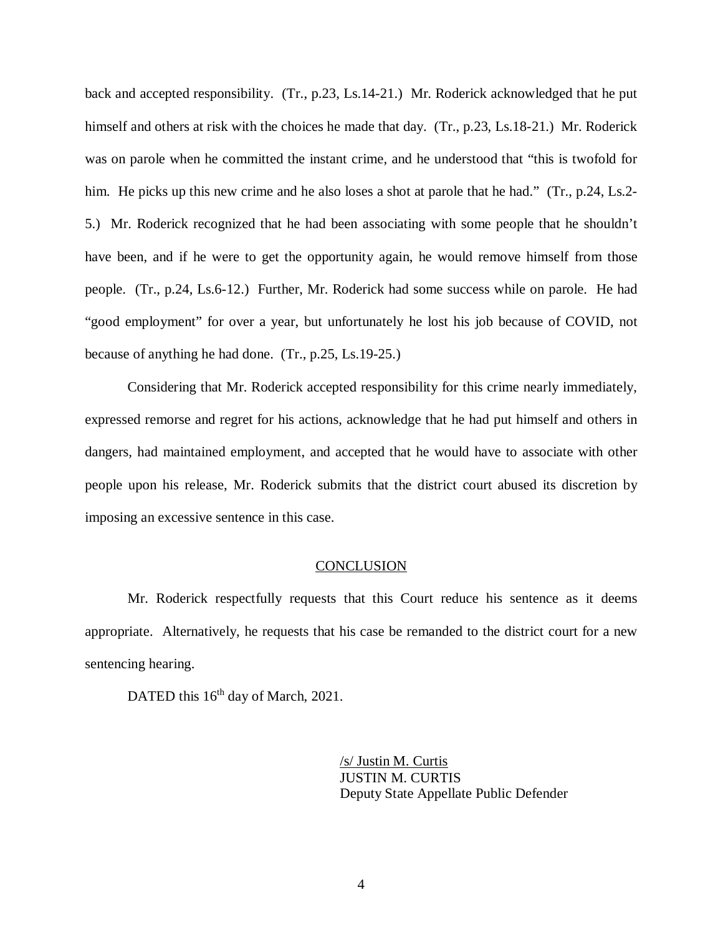back and accepted responsibility. (Tr., p.23, Ls.14-21.) Mr. Roderick acknowledged that he put himself and others at risk with the choices he made that day. (Tr., p.23, Ls.18-21.) Mr. Roderick was on parole when he committed the instant crime, and he understood that "this is twofold for him. He picks up this new crime and he also loses a shot at parole that he had." (Tr., p.24, Ls.2-5.) Mr. Roderick recognized that he had been associating with some people that he shouldn't have been, and if he were to get the opportunity again, he would remove himself from those people. (Tr., p.24, Ls.6-12.) Further, Mr. Roderick had some success while on parole. He had "good employment" for over a year, but unfortunately he lost his job because of COVID, not because of anything he had done. (Tr., p.25, Ls.19-25.)

Considering that Mr. Roderick accepted responsibility for this crime nearly immediately, expressed remorse and regret for his actions, acknowledge that he had put himself and others in dangers, had maintained employment, and accepted that he would have to associate with other people upon his release, Mr. Roderick submits that the district court abused its discretion by imposing an excessive sentence in this case.

#### **CONCLUSION**

Mr. Roderick respectfully requests that this Court reduce his sentence as it deems appropriate. Alternatively, he requests that his case be remanded to the district court for a new sentencing hearing.

DATED this 16<sup>th</sup> day of March, 2021.

/s/ Justin M. Curtis JUSTIN M. CURTIS Deputy State Appellate Public Defender